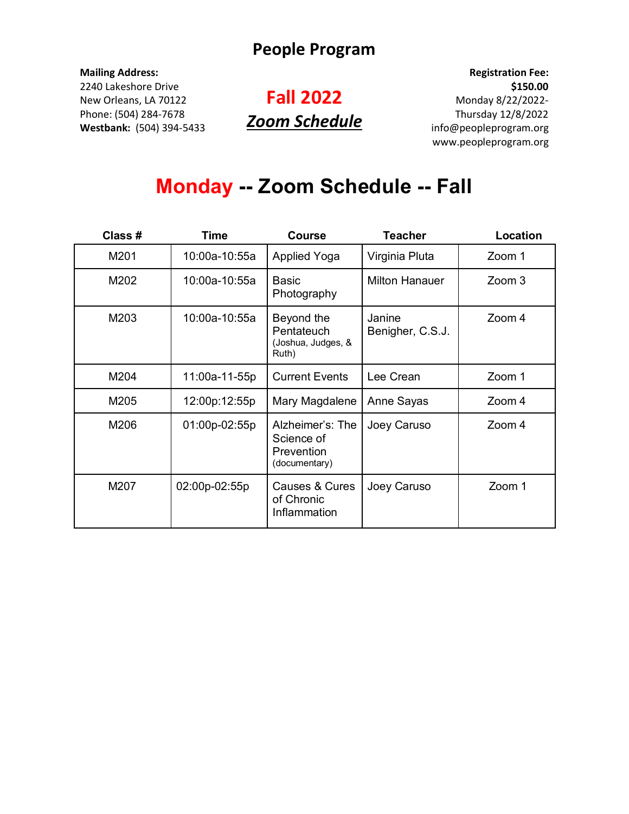#### **Mailing Address:**

2240 Lakeshore Drive New Orleans, LA 70122 Phone: (504) 284-7678 **Westbank:** (504) 394-5433

## **Fall 2022** *Zoom Schedule*

**Registration Fee: \$150.00** Monday 8/22/2022- Thursday 12/8/2022 info@peopleprogram.org www.peopleprogram.org

# **Monday -- Zoom Schedule -- Fall**

| Class # | Time          | <b>Course</b>                                                 | Teacher                    | Location |
|---------|---------------|---------------------------------------------------------------|----------------------------|----------|
| M201    | 10:00a-10:55a | <b>Applied Yoga</b>                                           | Virginia Pluta             | Zoom 1   |
| M202    | 10:00a-10:55a | Basic<br>Photography                                          | <b>Milton Hanauer</b>      | Zoom 3   |
| M203    | 10:00a-10:55a | Beyond the<br>Pentateuch<br>(Joshua, Judges, &<br>Ruth)       | Janine<br>Benigher, C.S.J. | Zoom 4   |
| M204    | 11:00a-11-55p | <b>Current Events</b>                                         | Lee Crean                  | Zoom 1   |
| M205    | 12:00p:12:55p | Mary Magdalene                                                | Anne Sayas                 | Zoom 4   |
| M206    | 01:00p-02:55p | Alzheimer's: The<br>Science of<br>Prevention<br>(documentary) | Joey Caruso                | Zoom 4   |
| M207    | 02:00p-02:55p | Causes & Cures<br>of Chronic<br>Inflammation                  | Joey Caruso                | Zoom 1   |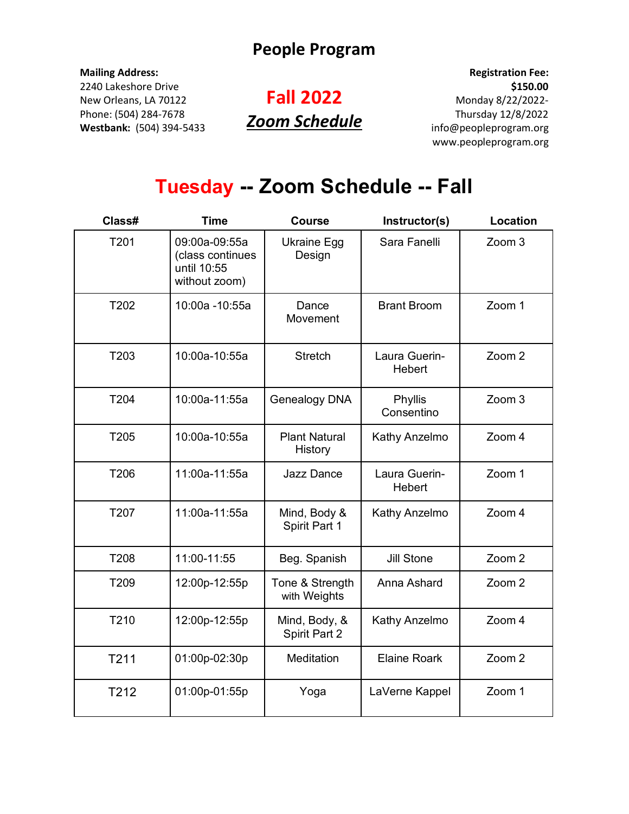#### **Mailing Address:**

2240 Lakeshore Drive New Orleans, LA 70122 Phone: (504) 284-7678 **Westbank:** (504) 394-5433

## **Fall 2022** *Zoom Schedule*

**Registration Fee: \$150.00** Monday 8/22/2022- Thursday 12/8/2022 info@peopleprogram.org www.peopleprogram.org

# **Tuesday -- Zoom Schedule -- Fall**

| Class# | <b>Time</b>                                                       | <b>Course</b>                   | Instructor(s)           | <b>Location</b> |
|--------|-------------------------------------------------------------------|---------------------------------|-------------------------|-----------------|
| T201   | 09:00a-09:55a<br>(class continues<br>until 10:55<br>without zoom) | <b>Ukraine Egg</b><br>Design    | Sara Fanelli            | Zoom 3          |
| T202   | 10:00a -10:55a                                                    | Dance<br>Movement               | <b>Brant Broom</b>      | Zoom 1          |
| T203   | 10:00a-10:55a                                                     | <b>Stretch</b>                  | Laura Guerin-<br>Hebert | Zoom 2          |
| T204   | 10:00a-11:55a                                                     | Genealogy DNA                   | Phyllis<br>Consentino   | Zoom 3          |
| T205   | 10:00a-10:55a                                                     | <b>Plant Natural</b><br>History | Kathy Anzelmo           | Zoom 4          |
| T206   | 11:00a-11:55a                                                     | <b>Jazz Dance</b>               | Laura Guerin-<br>Hebert | Zoom 1          |
| T207   | 11:00a-11:55a                                                     | Mind, Body &<br>Spirit Part 1   | Kathy Anzelmo           | Zoom 4          |
| T208   | 11:00-11:55                                                       | Beg. Spanish                    | <b>Jill Stone</b>       | Zoom 2          |
| T209   | 12:00p-12:55p                                                     | Tone & Strength<br>with Weights | Anna Ashard             | Zoom 2          |
| T210   | 12:00p-12:55p                                                     | Mind, Body, &<br>Spirit Part 2  | Kathy Anzelmo           | Zoom 4          |
| T211   | 01:00p-02:30p                                                     | Meditation                      | <b>Elaine Roark</b>     | Zoom 2          |
| T212   | 01:00p-01:55p                                                     | Yoga                            | LaVerne Kappel          | Zoom 1          |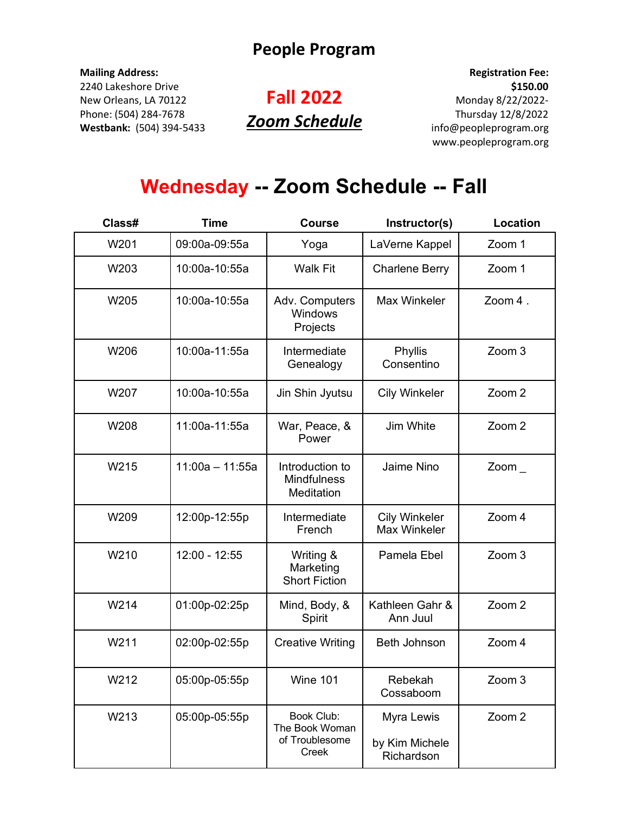#### **Mailing Address:**

2240 Lakeshore Drive New Orleans, LA 70122 Phone: (504) 284-7678 **Westbank:** (504) 394-5433

## **Fall 2022** *Zoom Schedule*

**Registration Fee: \$150.00** Monday 8/22/2022- Thursday 12/8/2022 info@peopleprogram.org www.peopleprogram.org

# **Wednesday -- Zoom Schedule -- Fall**

| Class# | <b>Time</b>       | <b>Course</b>                                           | Instructor(s)                              | <b>Location</b>   |
|--------|-------------------|---------------------------------------------------------|--------------------------------------------|-------------------|
| W201   | 09:00a-09:55a     | Yoga                                                    | LaVerne Kappel                             | Zoom 1            |
| W203   | 10:00a-10:55a     | <b>Walk Fit</b>                                         | <b>Charlene Berry</b>                      | Zoom 1            |
| W205   | 10:00a-10:55a     | Adv. Computers<br>Windows<br>Projects                   | Max Winkeler                               | Zoom 4.           |
| W206   | 10:00a-11:55a     | Intermediate<br>Genealogy                               | Phyllis<br>Consentino                      | Zoom 3            |
| W207   | 10:00a-10:55a     | Jin Shin Jyutsu                                         | <b>Cily Winkeler</b>                       | Zoom <sub>2</sub> |
| W208   | 11:00a-11:55a     | War, Peace, &<br>Power                                  | Jim White                                  | Zoom <sub>2</sub> |
| W215   | $11:00a - 11:55a$ | Introduction to<br>Mindfulness<br>Meditation            | Jaime Nino                                 | Zoom $\_$         |
| W209   | 12:00p-12:55p     | Intermediate<br>French                                  | <b>Cily Winkeler</b><br>Max Winkeler       | Zoom 4            |
| W210   | 12:00 - 12:55     | Writing &<br>Marketing<br><b>Short Fiction</b>          | Pamela Ebel                                | Zoom 3            |
| W214   | 01:00p-02:25p     | Mind, Body, &<br>Spirit                                 | Kathleen Gahr &<br>Ann Juul                | Zoom 2            |
| W211   | 02:00p-02:55p     | <b>Creative Writing</b>                                 | <b>Beth Johnson</b>                        | Zoom 4            |
| W212   | 05:00p-05:55p     | Wine 101                                                | Rebekah<br>Cossaboom                       | Zoom 3            |
| W213   | 05:00p-05:55p     | Book Club:<br>The Book Woman<br>of Troublesome<br>Creek | Myra Lewis<br>by Kim Michele<br>Richardson | Zoom 2            |